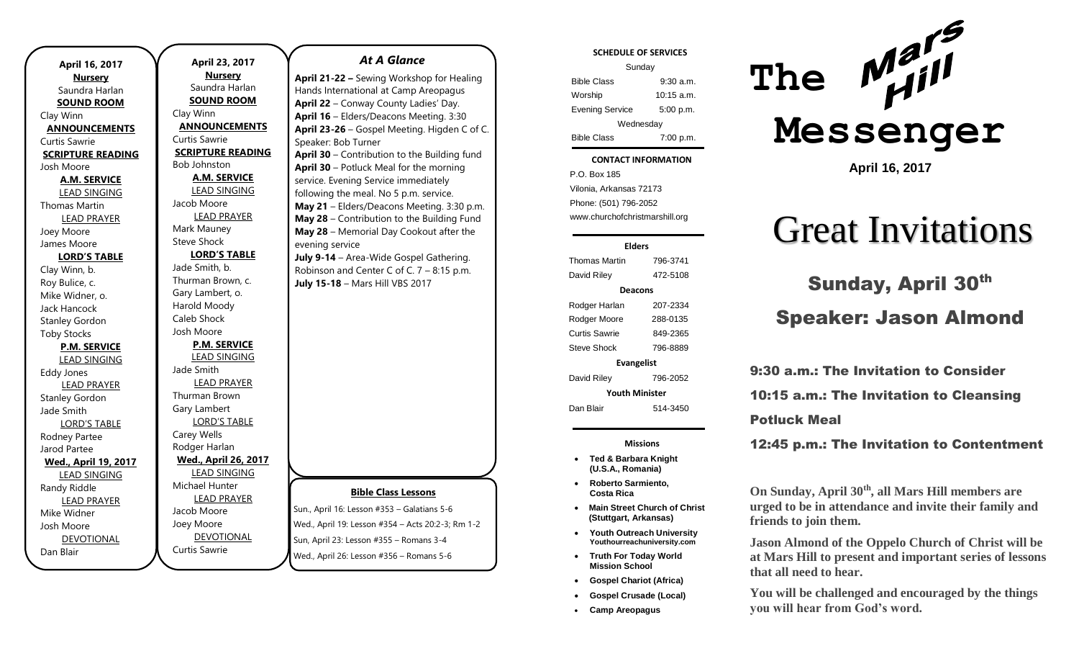|                             | April 23, 201            |
|-----------------------------|--------------------------|
| April 16, 2017              | <b>Nursery</b>           |
| <b>Nursery</b>              | Saundra Harla            |
| Saundra Harlan              | <b>SOUND ROOM</b>        |
| <b>SOUND ROOM</b>           | Clay Winn                |
| Clay Winn                   | <b>ANNOUNCEMEI</b>       |
| <b>ANNOUNCEMENTS</b>        | Curtis Sawrie            |
| <b>Curtis Sawrie</b>        | <b>SCRIPTURE READ</b>    |
| <b>SCRIPTURE READING</b>    | Bob Johnston             |
| Josh Moore                  |                          |
| <b>A.M. SERVICE</b>         | <b>A.M. SERVICE</b>      |
| <b>LEAD SINGING</b>         | <b>LEAD SINGING</b>      |
| <b>Thomas Martin</b>        | Jacob Moore              |
| <b>LEAD PRAYER</b>          | <b>LEAD PRAYER</b>       |
| Joey Moore                  | Mark Mauney              |
| James Moore                 | <b>Steve Shock</b>       |
| <b>LORD'S TABLE</b>         | <b>LORD'S TABL</b>       |
| Clay Winn, b.               | Jade Smith, b.           |
| Roy Bulice, c.              | Thurman Brown, c.        |
| Mike Widner, o.             | Gary Lambert, o.         |
| Jack Hancock                | Harold Moody             |
| <b>Stanley Gordon</b>       | <b>Caleb Shock</b>       |
| <b>Toby Stocks</b>          | Josh Moore               |
| <b>P.M. SERVICE</b>         | <b>P.M. SERVICE</b>      |
| <b>LEAD SINGING</b>         | <b>LEAD SINGING</b>      |
| <b>Eddy Jones</b>           | Jade Smith               |
| <b>LEAD PRAYER</b>          | <b>LEAD PRAYER</b>       |
| <b>Stanley Gordon</b>       | Thurman Brown            |
| Jade Smith                  | Gary Lambert             |
| <b>LORD'S TABLE</b>         | <b>LORD'S TABLE</b>      |
| Rodney Partee               | Carey Wells              |
| Jarod Partee                | Rodger Harlan            |
| <b>Wed., April 19, 2017</b> | <u>Wed., April 26, 2</u> |
| <b>LEAD SINGING</b>         | <b>LEAD SINGING</b>      |
| Randy Riddle                | Michael Hunter           |
| <b>LEAD PRAYER</b>          | <b>LEAD PRAYER</b>       |
| Mike Widner                 | Jacob Moore              |
| Josh Moore                  | Joey Moore               |
| DEVOTIONAL                  | <b>DEVOTIONAL</b>        |
| Dan Blair                   | Curtis Sawrie            |
|                             |                          |

### **017** rlan <u>OM</u> **IENTS ADING** <u>ICE</u> NG 'ER **BLE** <u>ICE</u> NG 'ER <u>SLE</u> **Wed., April 26, 2017** <u>NG</u>  $'ER$ IAL *At A Glance*  **April 21-22 –** Sewing Workshop for Healing Hands International at Camp Areopagus **April 22** – Conway County Ladies' Day. **April 16** – Elders/Deacons Meeting. 3:30 **April 23-26** – Gospel Meeting. Higden C of C. Speaker: Bob Turner **April 30** – Contribution to the Building fund **April 30** – Potluck Meal for the morning service. Evening Service immediately following the meal. No 5 p.m. service. **May 21** – Elders/Deacons Meeting. 3:30 p.m. **May 28** – Contribution to the Building Fund **May 28** – Memorial Day Cookout after the evening service **July 9-14** – Area-Wide Gospel Gathering. Robinson and Center C of C. 7 – 8:15 p.m.

**Bible Class Lessons** Sun., April 16: Lesson #353 – Galatians 5-6 Wed., April 19: Lesson #354 – Acts 20:2-3; Rm 1-2

Sun, April 23: Lesson #355 – Romans 3-4 Wed., April 26: Lesson #356 – Romans 5-6

### **SCHEDULE OF SERVICES**

| Sunday                 |              |
|------------------------|--------------|
| <b>Bible Class</b>     | $9:30$ a.m.  |
| Worship                | $10:15$ a.m. |
| <b>Evening Service</b> | 5:00 p.m.    |
| Wednesday              |              |
| <b>Bible Class</b>     | 7:00 p.m.    |

#### Tuesday **CONTACT INFORMATION**

 $\ldots$  Bible Colassius  $\ldots$ P.O. Box 185 Vilonia, Arkansas 72173 Phone: (501) 796-2052 www.churchofchristmarshill.org

### **Elders**

Thomas Martin 796-3741 David Riley 472-5108 **Deacons** Rodger Harlan 207-2334 Rodger Moore 288-0135 Curtis Sawrie 849-2365 Steve Shock 796-8889 **Evangelist** David Riley 796-2052 **Youth Minister** Dan Blair 514-3450

### **Missions**

- **Ted & Barbara Knight (U.S.A., Romania)**
- **Roberto Sarmiento, Costa Rica**
- **Main Street Church of Christ (Stuttgart, Arkansas)**
- **Youth Outreach University Youthourreachuniversity.com**
- **Truth For Today World Mission School**
- **Gospel Chariot (Africa)**
- **Gospel Crusade (Local)**
- **Camp Areopagus**



**April 16, 2017**

# Great Invitations

# July 15-18 – Mars Hill VBS 2017 **Sunday, April 30<sup>th</sup>** Speaker: Jason Almond

9:30 a.m.: The Invitation to Consider 10:15 a.m.: The Invitation to Cleansing Potluck Meal

12:45 p.m.: The Invitation to Contentment

**On Sunday, April 30th, all Mars Hill members are urged to be in attendance and invite their family and friends to join them.** 

**Jason Almond of the Oppelo Church of Christ will be at Mars Hill to present and important series of lessons that all need to hear.** 

**You will be challenged and encouraged by the things you will hear from God's word.**